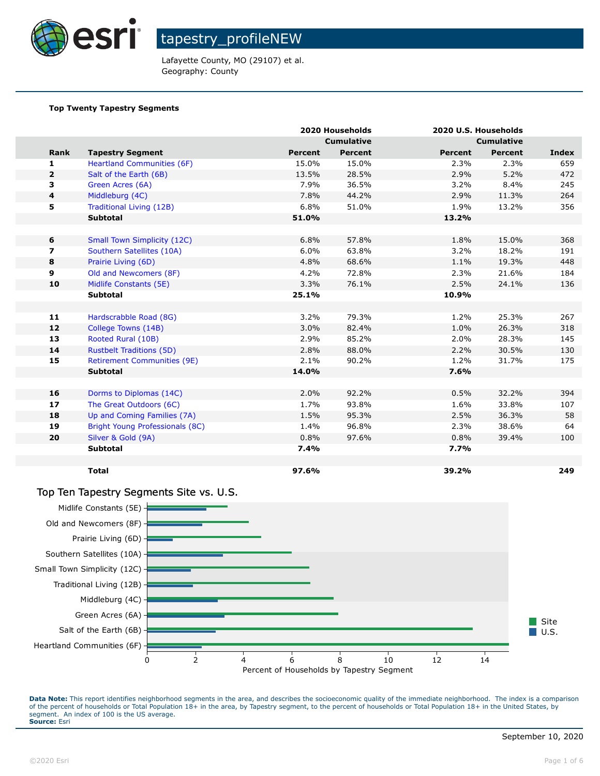

Lafayette County, MO (29107) et al. Geography: County

#### **Top Twenty Tapestry Segments**

|                         |                                    |         | 2020 Households   |                   | 2020 U.S. Households |       |
|-------------------------|------------------------------------|---------|-------------------|-------------------|----------------------|-------|
|                         |                                    |         | <b>Cumulative</b> | <b>Cumulative</b> |                      |       |
| Rank                    | <b>Tapestry Segment</b>            | Percent | <b>Percent</b>    | <b>Percent</b>    | <b>Percent</b>       | Index |
| 1                       | <b>Heartland Communities (6F)</b>  | 15.0%   | 15.0%             | 2.3%              | 2.3%                 | 659   |
| $\overline{2}$          | Salt of the Earth (6B)             | 13.5%   | 28.5%             | 2.9%              | 5.2%                 | 472   |
| з                       | Green Acres (6A)                   | 7.9%    | 36.5%             | 3.2%              | 8.4%                 | 245   |
| 4                       | Middleburg (4C)                    | 7.8%    | 44.2%             | 2.9%              | 11.3%                | 264   |
| 5                       | Traditional Living (12B)           | 6.8%    | 51.0%             | 1.9%              | 13.2%                | 356   |
|                         | <b>Subtotal</b>                    | 51.0%   |                   | 13.2%             |                      |       |
|                         |                                    |         |                   |                   |                      |       |
| 6                       | <b>Small Town Simplicity (12C)</b> | 6.8%    | 57.8%             | 1.8%              | 15.0%                | 368   |
| $\overline{\mathbf{z}}$ | Southern Satellites (10A)          | 6.0%    | 63.8%             | 3.2%              | 18.2%                | 191   |
| 8                       | Prairie Living (6D)                | 4.8%    | 68.6%             | 1.1%              | 19.3%                | 448   |
| 9                       | Old and Newcomers (8F)             | 4.2%    | 72.8%             | 2.3%              | 21.6%                | 184   |
| 10                      | Midlife Constants (5E)             | 3.3%    | 76.1%             | 2.5%              | 24.1%                | 136   |
|                         | <b>Subtotal</b>                    | 25.1%   |                   | 10.9%             |                      |       |
|                         |                                    |         |                   |                   |                      |       |
| 11                      | Hardscrabble Road (8G)             | 3.2%    | 79.3%             | 1.2%              | 25.3%                | 267   |
| 12                      | College Towns (14B)                | 3.0%    | 82.4%             | 1.0%              | 26.3%                | 318   |
| 13                      | Rooted Rural (10B)                 | 2.9%    | 85.2%             | 2.0%              | 28.3%                | 145   |
| 14                      | <b>Rustbelt Traditions (5D)</b>    | 2.8%    | 88.0%             | 2.2%              | 30.5%                | 130   |
| 15                      | <b>Retirement Communities (9E)</b> | 2.1%    | 90.2%             | 1.2%              | 31.7%                | 175   |
|                         | <b>Subtotal</b>                    | 14.0%   |                   | 7.6%              |                      |       |
|                         |                                    |         |                   |                   |                      |       |
| 16                      | Dorms to Diplomas (14C)            | 2.0%    | 92.2%             | 0.5%              | 32.2%                | 394   |
| 17                      | The Great Outdoors (6C)            | 1.7%    | 93.8%             | 1.6%              | 33.8%                | 107   |
| 18                      | Up and Coming Families (7A)        | 1.5%    | 95.3%             | 2.5%              | 36.3%                | 58    |
| 19                      | Bright Young Professionals (8C)    | 1.4%    | 96.8%             | 2.3%              | 38.6%                | 64    |
| 20                      | Silver & Gold (9A)                 | 0.8%    | 97.6%             | 0.8%              | 39.4%                | 100   |
|                         | <b>Subtotal</b>                    | 7.4%    |                   | 7.7%              |                      |       |
|                         |                                    |         |                   |                   |                      |       |
|                         | <b>Total</b>                       | 97.6%   |                   | 39.2%             |                      | 249   |

#### Top Ten Tapestry Segments Site vs. U.S.

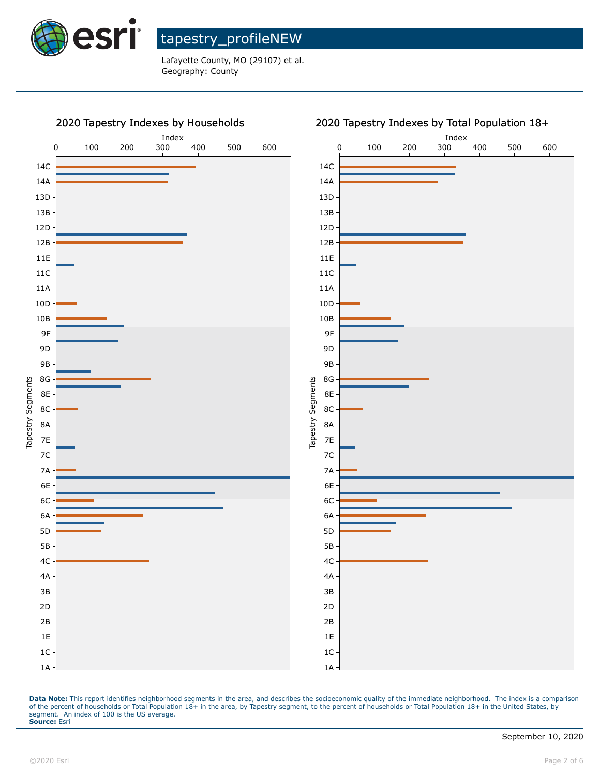

Lafayette County, MO (29107) et al. Geography: County



#### 2020 Tapestry Indexes by Total Population 18+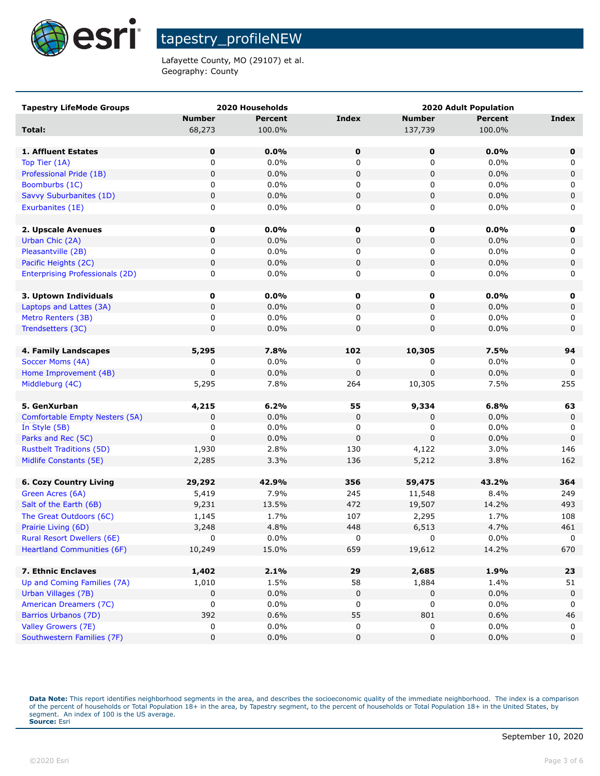

Lafayette County, MO (29107) et al. Geography: County

| <b>Tapestry LifeMode Groups</b>                 |               | 2020 Households | <b>2020 Adult Population</b> |               |         |              |
|-------------------------------------------------|---------------|-----------------|------------------------------|---------------|---------|--------------|
|                                                 | <b>Number</b> | <b>Percent</b>  | <b>Index</b>                 | <b>Number</b> | Percent | <b>Index</b> |
| Total:                                          | 68,273        | 100.0%          |                              | 137,739       | 100.0%  |              |
|                                                 |               |                 |                              |               |         |              |
| 1. Affluent Estates                             | 0             | $0.0\%$         | $\mathbf 0$                  | $\mathbf 0$   | 0.0%    | 0            |
| Top Tier (1A)                                   | 0             | 0.0%            | 0                            | 0             | 0.0%    | 0            |
| Professional Pride (1B)                         | $\mathbf 0$   | 0.0%            | 0                            | 0             | 0.0%    | $\mathsf 0$  |
| Boomburbs (1C)                                  | 0             | 0.0%            | 0                            | 0             | $0.0\%$ | 0            |
| Savvy Suburbanites (1D)                         | 0             | 0.0%            | 0                            | 0             | 0.0%    | $\mathsf 0$  |
| Exurbanites (1E)                                | 0             | 0.0%            | 0                            | 0             | $0.0\%$ | 0            |
|                                                 |               |                 |                              |               |         |              |
| 2. Upscale Avenues                              | $\mathbf 0$   | 0.0%            | 0                            | $\mathbf 0$   | $0.0\%$ | 0            |
| Urban Chic (2A)                                 | 0             | 0.0%            | 0                            | 0             | 0.0%    | $\mathbf 0$  |
| Pleasantville (2B)                              | 0             | 0.0%            | 0                            | 0             | $0.0\%$ | 0            |
| Pacific Heights (2C)                            | 0             | 0.0%            | 0                            | 0             | 0.0%    | $\mathbf 0$  |
| <b>Enterprising Professionals (2D)</b>          | 0             | 0.0%            | 0                            | 0             | $0.0\%$ | 0            |
|                                                 |               |                 |                              |               |         |              |
| 3. Uptown Individuals                           | $\mathbf 0$   | $0.0\%$         | 0                            | 0             | $0.0\%$ | 0            |
| Laptops and Lattes (3A)                         | 0             | 0.0%            | 0                            | 0             | 0.0%    | 0            |
| Metro Renters (3B)                              | 0             | 0.0%            | 0                            | 0             | 0.0%    | 0            |
| Trendsetters (3C)                               | 0             | 0.0%            | 0                            | 0             | 0.0%    | $\mathbf 0$  |
|                                                 |               |                 |                              |               |         |              |
| 4. Family Landscapes                            | 5,295         | 7.8%            | 102                          | 10,305        | 7.5%    | 94           |
| Soccer Moms (4A)                                | 0             | 0.0%            | 0                            | 0             | 0.0%    | 0            |
| Home Improvement (4B)                           | 0             | 0.0%            | $\pmb{0}$                    | 0             | 0.0%    | $\mathbf 0$  |
| Middleburg (4C)                                 | 5,295         | 7.8%            | 264                          | 10,305        | 7.5%    | 255          |
|                                                 |               |                 |                              |               | 6.8%    |              |
| 5. GenXurban                                    | 4,215<br>0    | 6.2%<br>0.0%    | 55<br>$\pmb{0}$              | 9,334         | 0.0%    | 63           |
| Comfortable Empty Nesters (5A)<br>In Style (5B) | 0             | 0.0%            | 0                            | 0<br>0        | 0.0%    | 0<br>0       |
| Parks and Rec (5C)                              | $\mathbf 0$   | 0.0%            | 0                            | 0             | 0.0%    | $\mathbf 0$  |
| <b>Rustbelt Traditions (5D)</b>                 | 1,930         | 2.8%            | 130                          | 4,122         | 3.0%    | 146          |
| Midlife Constants (5E)                          | 2,285         | 3.3%            | 136                          | 5,212         | 3.8%    | 162          |
|                                                 |               |                 |                              |               |         |              |
| <b>6. Cozy Country Living</b>                   | 29,292        | 42.9%           | 356                          | 59,475        | 43.2%   | 364          |
| Green Acres (6A)                                | 5,419         | 7.9%            | 245                          | 11,548        | 8.4%    | 249          |
| Salt of the Earth (6B)                          | 9,231         | 13.5%           | 472                          | 19,507        | 14.2%   | 493          |
| The Great Outdoors (6C)                         | 1,145         | 1.7%            | 107                          | 2,295         | 1.7%    | 108          |
| Prairie Living (6D)                             | 3,248         | 4.8%            | 448                          | 6,513         | 4.7%    | 461          |
| <b>Rural Resort Dwellers (6E)</b>               | 0             | 0.0%            | 0                            | 0             | 0.0%    | $\Omega$     |
| <b>Heartland Communities (6F)</b>               | 10,249        | 15.0%           | 659                          | 19,612        | 14.2%   | 670          |
|                                                 |               |                 |                              |               |         |              |
| 7. Ethnic Enclaves                              | 1,402         | 2.1%            | 29                           | 2,685         | 1.9%    | 23           |
| Up and Coming Families (7A)                     | 1,010         | 1.5%            | 58                           | 1,884         | 1.4%    | 51           |
| Urban Villages (7B)                             | 0             | 0.0%            | 0                            | 0             | 0.0%    | $\mathbf 0$  |
| American Dreamers (7C)                          | 0             | 0.0%            | 0                            | 0             | 0.0%    | 0            |
| Barrios Urbanos (7D)                            | 392           | 0.6%            | 55                           | 801           | 0.6%    | 46           |
| Valley Growers (7E)                             | 0             | 0.0%            | 0                            | 0             | 0.0%    | $\mathbf 0$  |
| Southwestern Families (7F)                      | 0             | 0.0%            | 0                            | 0             | 0.0%    | $\mathbf 0$  |
|                                                 |               |                 |                              |               |         |              |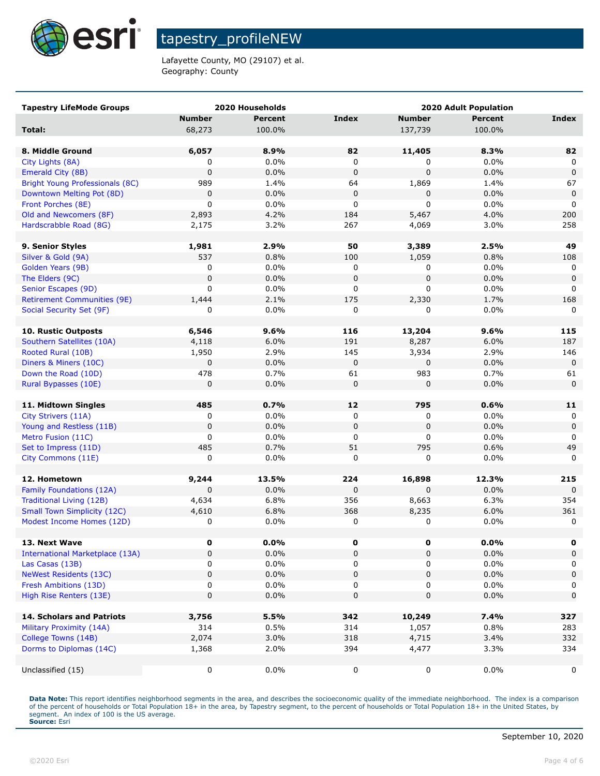

Lafayette County, MO (29107) et al. Geography: County

| <b>Tapestry LifeMode Groups</b>        |               | 2020 Households | <b>2020 Adult Population</b> |                      |                |              |
|----------------------------------------|---------------|-----------------|------------------------------|----------------------|----------------|--------------|
|                                        | <b>Number</b> | <b>Percent</b>  | Index                        | <b>Number</b>        | <b>Percent</b> | <b>Index</b> |
| Total:                                 | 68,273        | 100.0%          |                              | 137,739              | 100.0%         |              |
|                                        |               |                 |                              |                      |                |              |
| 8. Middle Ground                       | 6,057         | 8.9%            | 82                           | 11,405               | 8.3%           | 82           |
| City Lights (8A)                       | 0             | $0.0\%$         | 0                            | 0                    | 0.0%           | 0            |
| Emerald City (8B)                      | 0             | 0.0%            | $\mathbf 0$                  | $\Omega$             | 0.0%           | $\Omega$     |
| <b>Bright Young Professionals (8C)</b> | 989           | 1.4%            | 64                           | 1,869                | 1.4%           | 67           |
| Downtown Melting Pot (8D)              | $\mathbf 0$   | $0.0\%$         | $\mathbf 0$                  | 0                    | 0.0%           | $\mathbf 0$  |
| Front Porches (8E)                     | $\mathbf 0$   | $0.0\%$         | 0                            | $\mathbf 0$          | 0.0%           | 0            |
| Old and Newcomers (8F)                 | 2,893         | 4.2%            | 184                          | 5,467                | 4.0%           | 200          |
| Hardscrabble Road (8G)                 | 2,175         | 3.2%            | 267                          | 4,069                | 3.0%           | 258          |
|                                        |               |                 |                              |                      |                |              |
| 9. Senior Styles                       | 1,981         | 2.9%            | 50                           | 3,389                | 2.5%           | 49           |
| Silver & Gold (9A)                     | 537           | 0.8%            | 100                          | 1,059                | 0.8%           | 108          |
| Golden Years (9B)                      | 0             | $0.0\%$         | 0                            | 0                    | 0.0%           | 0            |
| The Elders (9C)                        | $\mathbf 0$   | 0.0%            | $\mathbf 0$                  | $\mathbf 0$          | 0.0%           | $\mathbf 0$  |
| Senior Escapes (9D)                    | 0             | $0.0\%$         | 0                            | 0                    | 0.0%           | 0            |
| <b>Retirement Communities (9E)</b>     | 1,444         | 2.1%            | 175                          | 2,330                | 1.7%           | 168          |
| Social Security Set (9F)               | 0             | 0.0%            | 0                            | 0                    | 0.0%           | 0            |
| <b>10. Rustic Outposts</b>             |               |                 |                              |                      |                |              |
| Southern Satellites (10A)              | 6,546         | 9.6%            | 116                          | 13,204               | 9.6%           | 115          |
| Rooted Rural (10B)                     | 4,118         | 6.0%<br>2.9%    | 191<br>145                   | 8,287                | 6.0%<br>2.9%   | 187<br>146   |
| Diners & Miners (10C)                  | 1,950<br>0    | 0.0%            | $\mathbf 0$                  | 3,934<br>$\mathbf 0$ | 0.0%           | $\mathbf 0$  |
| Down the Road (10D)                    | 478           | 0.7%            | 61                           | 983                  | 0.7%           | 61           |
| Rural Bypasses (10E)                   | 0             | 0.0%            | 0                            | $\mathbf 0$          | 0.0%           | $\mathbf 0$  |
|                                        |               |                 |                              |                      |                |              |
| 11. Midtown Singles                    | 485           | 0.7%            | 12                           | 795                  | 0.6%           | 11           |
| City Strivers (11A)                    | 0             | $0.0\%$         | 0                            | 0                    | 0.0%           | 0            |
| Young and Restless (11B)               | $\mathbf 0$   | 0.0%            | $\mathbf 0$                  | $\pmb{0}$            | 0.0%           | $\mathbf 0$  |
| Metro Fusion (11C)                     | 0             | 0.0%            | 0                            | 0                    | 0.0%           | $\Omega$     |
| Set to Impress (11D)                   | 485           | 0.7%            | 51                           | 795                  | 0.6%           | 49           |
| City Commons (11E)                     | 0             | 0.0%            | 0                            | $\mathbf 0$          | 0.0%           | $\mathbf 0$  |
|                                        |               |                 |                              |                      |                |              |
| 12. Hometown                           | 9,244         | 13.5%           | 224                          | 16,898               | 12.3%          | 215          |
| Family Foundations (12A)               | $\mathbf 0$   | 0.0%            | 0                            | $\mathbf 0$          | 0.0%           | $\Omega$     |
| <b>Traditional Living (12B)</b>        | 4,634         | 6.8%            | 356                          | 8,663                | 6.3%           | 354          |
| <b>Small Town Simplicity (12C)</b>     | 4,610         | 6.8%            | 368                          | 8,235                | 6.0%           | 361          |
| Modest Income Homes (12D)              | 0             | 0.0%            | 0                            | 0                    | 0.0%           | 0            |
| 13. Next Wave                          | 0             | $0.0\%$         | 0                            | 0                    | $0.0\%$        |              |
| <b>International Marketplace (13A)</b> | 0             | 0.0%            | 0                            | $\mathbf 0$          | 0.0%           | 0            |
| Las Casas (13B)                        | 0             | 0.0%            | 0                            | 0                    | 0.0%           | 0            |
| <b>NeWest Residents (13C)</b>          | $\mathbf 0$   | 0.0%            | 0                            | $\pmb{0}$            | 0.0%           | 0            |
| Fresh Ambitions (13D)                  | 0             | $0.0\%$         | 0                            | 0                    | 0.0%           | 0            |
| High Rise Renters (13E)                | 0             | 0.0%            | 0                            | $\mathbf 0$          | 0.0%           | 0            |
|                                        |               |                 |                              |                      |                |              |
| 14. Scholars and Patriots              | 3,756         | 5.5%            | 342                          | 10,249               | 7.4%           | 327          |
| Military Proximity (14A)               | 314           | 0.5%            | 314                          | 1,057                | 0.8%           | 283          |
| College Towns (14B)                    | 2,074         | 3.0%            | 318                          | 4,715                | 3.4%           | 332          |
| Dorms to Diplomas (14C)                | 1,368         | 2.0%            | 394                          | 4,477                | 3.3%           | 334          |
|                                        |               |                 |                              |                      |                |              |
| Unclassified (15)                      | 0             | 0.0%            | 0                            | 0                    | 0.0%           | 0            |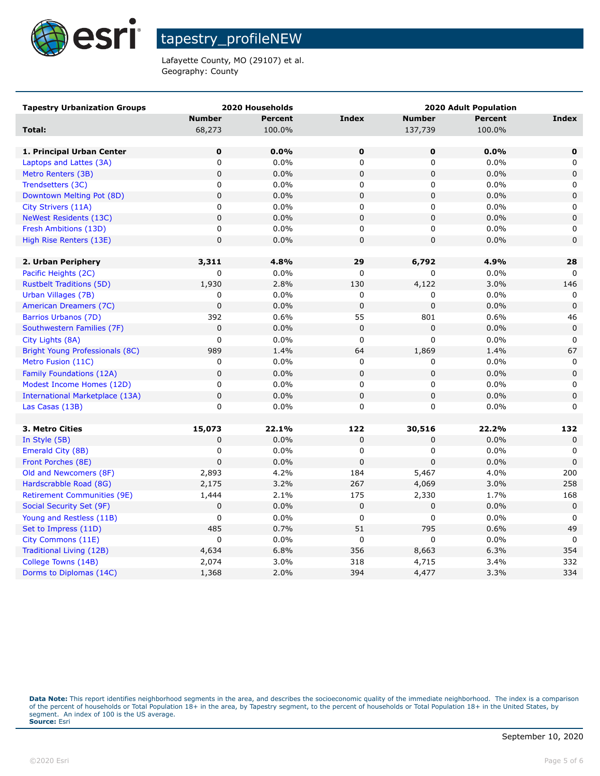

Lafayette County, MO (29107) et al. Geography: County

| <b>Tapestry Urbanization Groups</b>    |                | 2020 Households |              |                | <b>2020 Adult Population</b> |              |
|----------------------------------------|----------------|-----------------|--------------|----------------|------------------------------|--------------|
|                                        | <b>Number</b>  | <b>Percent</b>  | <b>Index</b> | <b>Number</b>  | <b>Percent</b>               | <b>Index</b> |
| Total:                                 | 68,273         | 100.0%          |              | 137,739        | 100.0%                       |              |
|                                        |                |                 |              |                |                              |              |
| 1. Principal Urban Center              | 0              | 0.0%            | $\mathbf 0$  | 0              | 0.0%                         | 0            |
| Laptops and Lattes (3A)                | 0              | 0.0%            | 0            | 0              | 0.0%                         | 0            |
| Metro Renters (3B)                     | $\mathbf 0$    | 0.0%            | $\mathbf 0$  | $\mathbf 0$    | 0.0%                         | 0            |
| Trendsetters (3C)                      | $\mathbf 0$    | 0.0%            | 0            | 0              | 0.0%                         | 0            |
| Downtown Melting Pot (8D)              | $\pmb{0}$      | 0.0%            | $\pmb{0}$    | $\mathsf 0$    | 0.0%                         | 0            |
| City Strivers (11A)                    | 0              | 0.0%            | 0            | 0              | 0.0%                         | 0            |
| <b>NeWest Residents (13C)</b>          | $\pmb{0}$      | 0.0%            | $\mathbf 0$  | $\pmb{0}$      | 0.0%                         | 0            |
| Fresh Ambitions (13D)                  | 0              | 0.0%            | $\mathbf 0$  | 0              | 0.0%                         | 0            |
| High Rise Renters (13E)                | $\pmb{0}$      | 0.0%            | $\pmb{0}$    | 0              | 0.0%                         | $\pmb{0}$    |
|                                        |                |                 |              |                |                              |              |
| 2. Urban Periphery                     | 3,311          | 4.8%            | 29           | 6,792          | 4.9%                         | 28           |
| Pacific Heights (2C)                   | 0              | 0.0%            | 0            | 0              | 0.0%                         | $\Omega$     |
| <b>Rustbelt Traditions (5D)</b>        | 1,930          | 2.8%            | 130          | 4,122          | 3.0%                         | 146          |
| Urban Villages (7B)                    | 0              | 0.0%            | 0            | 0              | 0.0%                         | 0            |
| American Dreamers (7C)                 | $\overline{0}$ | 0.0%            | $\mathbf 0$  | 0              | 0.0%                         | $\Omega$     |
| Barrios Urbanos (7D)                   | 392            | 0.6%            | 55           | 801            | 0.6%                         | 46           |
| Southwestern Families (7F)             | $\mathbf 0$    | 0.0%            | $\mathbf 0$  | 0              | 0.0%                         | $\pmb{0}$    |
| City Lights (8A)                       | $\mathbf 0$    | 0.0%            | $\mathbf 0$  | $\overline{0}$ | 0.0%                         | 0            |
| <b>Bright Young Professionals (8C)</b> | 989            | 1.4%            | 64           | 1,869          | 1.4%                         | 67           |
| Metro Fusion (11C)                     | 0              | 0.0%            | $\mathbf 0$  | 0              | 0.0%                         | $\mathbf 0$  |
| Family Foundations (12A)               | $\mathbf 0$    | 0.0%            | $\mathbf 0$  | 0              | 0.0%                         | $\mathbf 0$  |
| Modest Income Homes (12D)              | $\mathbf 0$    | 0.0%            | $\pmb{0}$    | 0              | 0.0%                         | 0            |
| <b>International Marketplace (13A)</b> | $\pmb{0}$      | 0.0%            | $\mathbf 0$  | $\mathsf 0$    | 0.0%                         | $\pmb{0}$    |
| Las Casas (13B)                        | $\mathbf 0$    | 0.0%            | 0            | 0              | 0.0%                         | 0            |
|                                        |                |                 |              |                |                              |              |
| 3. Metro Cities                        | 15,073         | 22.1%           | 122          | 30,516         | 22.2%                        | 132          |
| In Style (5B)                          | 0              | 0.0%            | $\mathbf 0$  | 0              | 0.0%                         | 0            |
| Emerald City (8B)                      | 0              | 0.0%            | 0            | 0              | 0.0%                         | 0            |
| Front Porches (8E)                     | $\Omega$       | 0.0%            | $\mathbf 0$  | $\overline{0}$ | 0.0%                         | $\mathbf 0$  |
| Old and Newcomers (8F)                 | 2,893          | 4.2%            | 184          | 5,467          | 4.0%                         | 200          |
| Hardscrabble Road (8G)                 | 2,175          | 3.2%            | 267          | 4,069          | 3.0%                         | 258          |
| <b>Retirement Communities (9E)</b>     | 1,444          | 2.1%            | 175          | 2,330          | 1.7%                         | 168          |
| Social Security Set (9F)               | $\pmb{0}$      | 0.0%            | $\mathbf 0$  | 0              | 0.0%                         | $\mathbf 0$  |
| Young and Restless (11B)               | $\mathbf 0$    | 0.0%            | $\mathbf 0$  | 0              | 0.0%                         | 0            |
| Set to Impress (11D)                   | 485            | 0.7%            | 51           | 795            | 0.6%                         | 49           |
| City Commons (11E)                     | $\mathbf 0$    | 0.0%            | $\pmb{0}$    | 0              | 0.0%                         | $\mathbf 0$  |
| Traditional Living (12B)               | 4,634          | 6.8%            | 356          | 8,663          | 6.3%                         | 354          |
| College Towns (14B)                    | 2,074          | 3.0%            | 318          | 4,715          | 3.4%                         | 332          |
| Dorms to Diplomas (14C)                | 1,368          | 2.0%            | 394          | 4,477          | 3.3%                         | 334          |